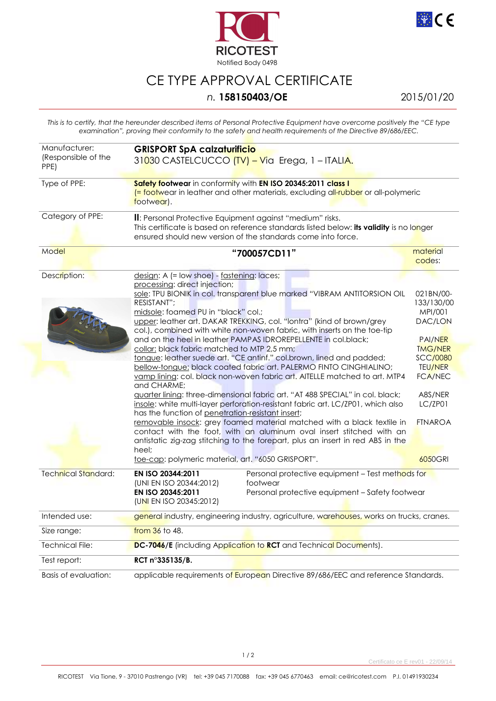



## CE TYPE APPROVAL CERTIFICATE

## *n.* **158150403/OE** 2015/01/20

*This is to certify, that the hereunder described items of Personal Protective Equipment have overcome positively the "CE type examination", proving their conformity to the safety and health requirements of the Directive 89/686/EEC.* 

| Manufacturer:<br>(Responsible of the<br>PPE) | <b>GRISPORT SpA calzaturificio</b><br>31030 CASTELCUCCO (TV) - Via Erega, 1 - ITALIA.                                                                                                                                                                                                                                                                                                                                                                                                                                                                                                                                                                                                                                                                                                                                                                                                                                                                                                                                                                                                                                                                                                                                                                      |                                                                                                                                                                                             |
|----------------------------------------------|------------------------------------------------------------------------------------------------------------------------------------------------------------------------------------------------------------------------------------------------------------------------------------------------------------------------------------------------------------------------------------------------------------------------------------------------------------------------------------------------------------------------------------------------------------------------------------------------------------------------------------------------------------------------------------------------------------------------------------------------------------------------------------------------------------------------------------------------------------------------------------------------------------------------------------------------------------------------------------------------------------------------------------------------------------------------------------------------------------------------------------------------------------------------------------------------------------------------------------------------------------|---------------------------------------------------------------------------------------------------------------------------------------------------------------------------------------------|
| Type of PPE:                                 | Safety footwear in conformity with EN ISO 20345:2011 class I<br><mark>(= footw</mark> ear in leather and other materials, excluding all-rubber or all-polymeric<br>footwear).                                                                                                                                                                                                                                                                                                                                                                                                                                                                                                                                                                                                                                                                                                                                                                                                                                                                                                                                                                                                                                                                              |                                                                                                                                                                                             |
| Category of PPE:                             | II: Personal Protective Equipment against "medium" risks.<br>This certificate is based on reference standards listed below: its validity is no longer<br>ensured should new version of the standards come into force.                                                                                                                                                                                                                                                                                                                                                                                                                                                                                                                                                                                                                                                                                                                                                                                                                                                                                                                                                                                                                                      |                                                                                                                                                                                             |
| Model                                        | "700057CD11"                                                                                                                                                                                                                                                                                                                                                                                                                                                                                                                                                                                                                                                                                                                                                                                                                                                                                                                                                                                                                                                                                                                                                                                                                                               | material<br>codes:                                                                                                                                                                          |
| Description:                                 | design: A (= low shoe) - fastening: laces;<br>processing: direct injection;<br>sole: TPU BIONIK in col. transparent blue marked "VIBRAM ANTITORSION OIL<br>RESISTANT";<br>midsole: foamed PU in "black" col.;<br>upper: leather art. DAKAR TREKKING, col. "lontra" (kind of brown/grey<br>col.), combined with white non-woven fabric, with inserts on the toe-tip<br>and on the heel in leather PAMPAS IDROREPELLENTE in col.black;<br>collar: black fabric matched to MTP 2,5 mm;<br>tongue: leather suede art. "CE antinf." col.brown, lined and padded;<br>bellow-tongue: black coated fabric art. PALERMO FINTO CINGHIALINO;<br>vamp lining: col. black non-woven fabric art. AITELLE matched to art. MTP4<br>and CHARME;<br>guarter lining: three-dimensional fabric art. "AT 488 SPECIAL" in col. black;<br>insole: white multi-layer perforation-resistant fabric art. LC/ZP01, which also<br>has the function of penetration-resistant insert;<br>removable insock: grey foamed material matched with a black textile in<br>contact with the foot, with an aluminum oval insert stitched with an<br>antistatic zig-zag stitching to the forepart, plus an insert in red ABS in the<br>heel;<br>toe-cap: polymeric material, art. "6050 GRISPORT". | 021BN/00-<br>133/130/00<br>MPI/001<br>DAC/LON<br><b>PAI/NER</b><br><b>TMG/NER</b><br><b>SCC/0080</b><br><b>TEU/NER</b><br><b>FCA/NEC</b><br>A8S/NER<br>LC/ZP01<br><b>FTNAROA</b><br>6050GRI |
| <b>Technical Standard:</b>                   | EN ISO 20344:2011<br>Personal protective equipment - Test methods for<br>(UNI EN ISO 20344:2012)<br>footwear<br>EN ISO 20345:2011<br>Personal protective equipment - Safety footwear<br>(UNI EN ISO 20345:2012)                                                                                                                                                                                                                                                                                                                                                                                                                                                                                                                                                                                                                                                                                                                                                                                                                                                                                                                                                                                                                                            |                                                                                                                                                                                             |
| Intended use:                                | general industry, engineering industry, agriculture, warehouses, works on trucks, cranes.                                                                                                                                                                                                                                                                                                                                                                                                                                                                                                                                                                                                                                                                                                                                                                                                                                                                                                                                                                                                                                                                                                                                                                  |                                                                                                                                                                                             |
| Size range:                                  | from 36 to 48.                                                                                                                                                                                                                                                                                                                                                                                                                                                                                                                                                                                                                                                                                                                                                                                                                                                                                                                                                                                                                                                                                                                                                                                                                                             |                                                                                                                                                                                             |
| Technical File:                              | DC-7046/E (including Application to RCT and Technical Documents).                                                                                                                                                                                                                                                                                                                                                                                                                                                                                                                                                                                                                                                                                                                                                                                                                                                                                                                                                                                                                                                                                                                                                                                          |                                                                                                                                                                                             |
| Test report:                                 | RCT n°335135/B.                                                                                                                                                                                                                                                                                                                                                                                                                                                                                                                                                                                                                                                                                                                                                                                                                                                                                                                                                                                                                                                                                                                                                                                                                                            |                                                                                                                                                                                             |
| Basis of evaluation:                         | applicable requirements of European Directive 89/686/EEC and reference Standards.                                                                                                                                                                                                                                                                                                                                                                                                                                                                                                                                                                                                                                                                                                                                                                                                                                                                                                                                                                                                                                                                                                                                                                          |                                                                                                                                                                                             |